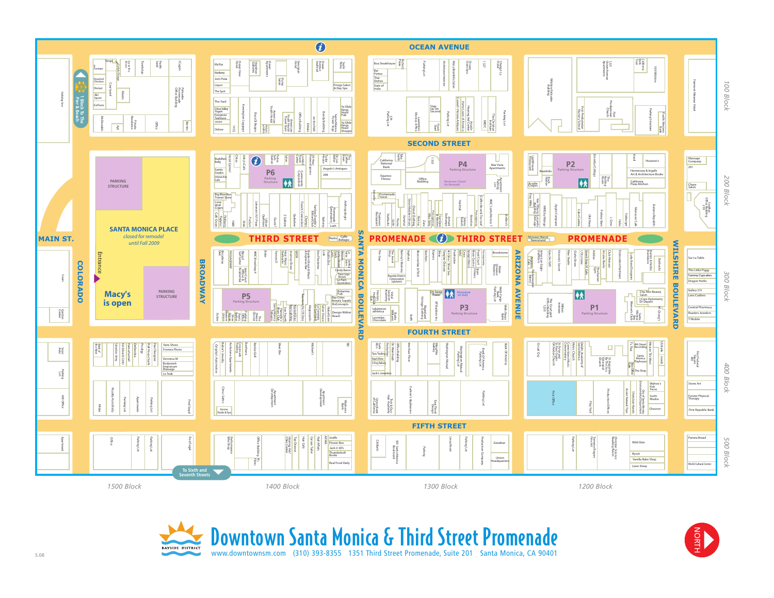



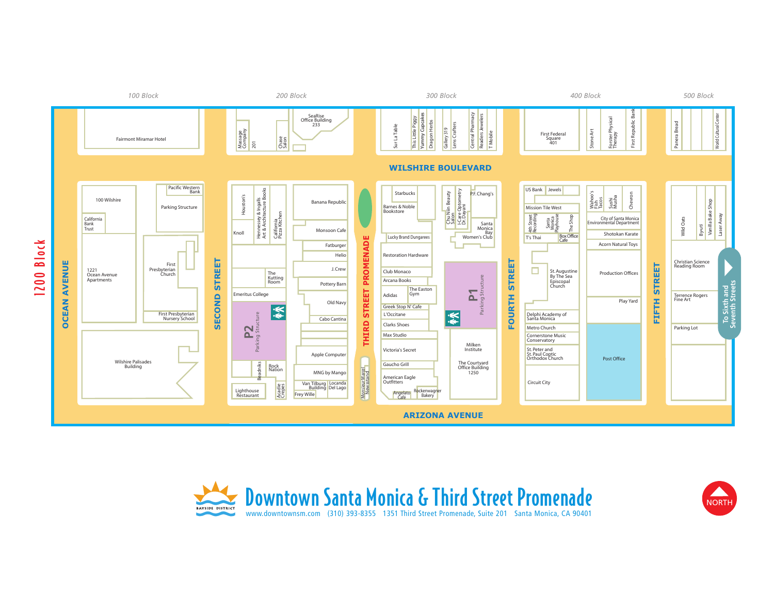



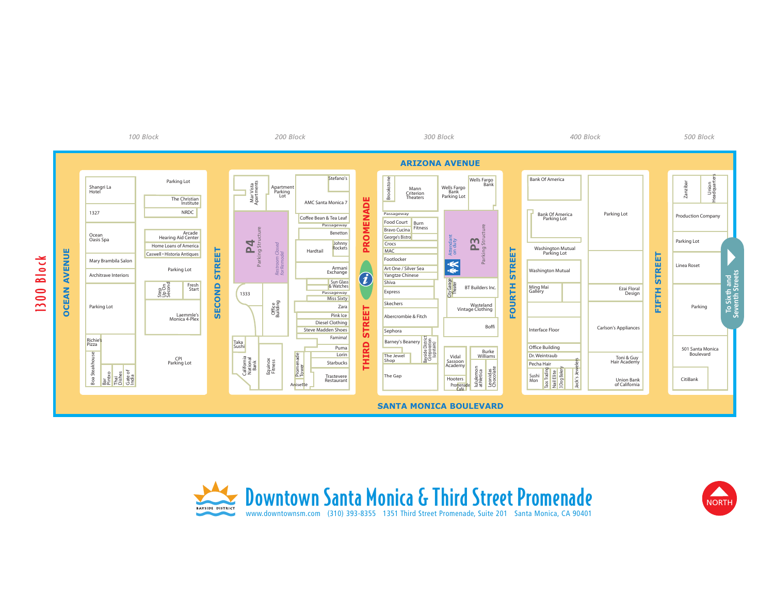



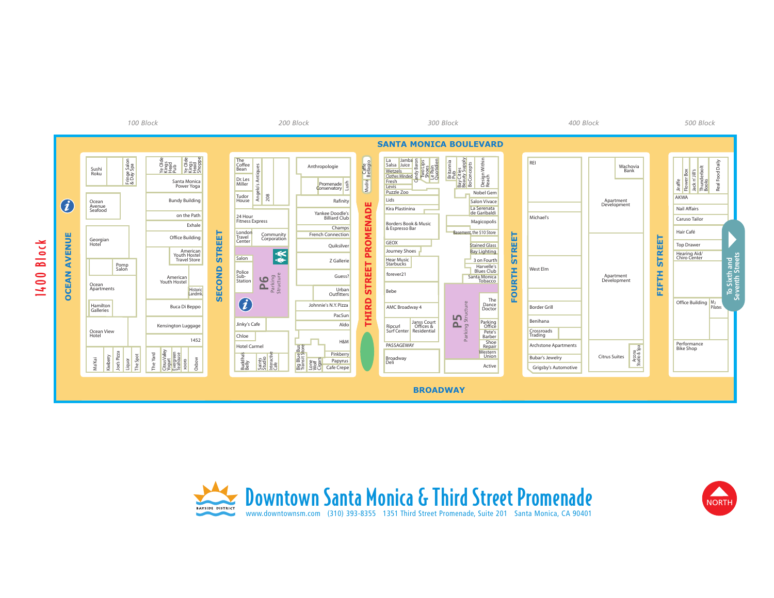